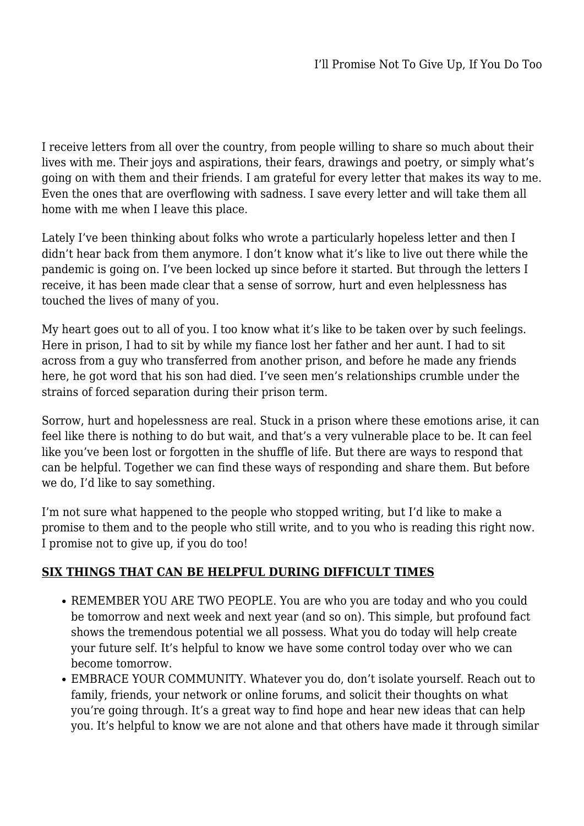I receive letters from all over the country, from people willing to share so much about their lives with me. Their joys and aspirations, their fears, drawings and poetry, or simply what's going on with them and their friends. I am grateful for every letter that makes its way to me. Even the ones that are overflowing with sadness. I save every letter and will take them all home with me when I leave this place.

Lately I've been thinking about folks who wrote a particularly hopeless letter and then I didn't hear back from them anymore. I don't know what it's like to live out there while the pandemic is going on. I've been locked up since before it started. But through the letters I receive, it has been made clear that a sense of sorrow, hurt and even helplessness has touched the lives of many of you.

My heart goes out to all of you. I too know what it's like to be taken over by such feelings. Here in prison, I had to sit by while my fiance lost her father and her aunt. I had to sit across from a guy who transferred from another prison, and before he made any friends here, he got word that his son had died. I've seen men's relationships crumble under the strains of forced separation during their prison term.

Sorrow, hurt and hopelessness are real. Stuck in a prison where these emotions arise, it can feel like there is nothing to do but wait, and that's a very vulnerable place to be. It can feel like you've been lost or forgotten in the shuffle of life. But there are ways to respond that can be helpful. Together we can find these ways of responding and share them. But before we do, I'd like to say something.

I'm not sure what happened to the people who stopped writing, but I'd like to make a promise to them and to the people who still write, and to you who is reading this right now. I promise not to give up, if you do too!

## **SIX THINGS THAT CAN BE HELPFUL DURING DIFFICULT TIMES**

- REMEMBER YOU ARE TWO PEOPLE. You are who you are today and who you could be tomorrow and next week and next year (and so on). This simple, but profound fact shows the tremendous potential we all possess. What you do today will help create your future self. It's helpful to know we have some control today over who we can become tomorrow.
- EMBRACE YOUR COMMUNITY. Whatever you do, don't isolate yourself. Reach out to family, friends, your network or online forums, and solicit their thoughts on what you're going through. It's a great way to find hope and hear new ideas that can help you. It's helpful to know we are not alone and that others have made it through similar